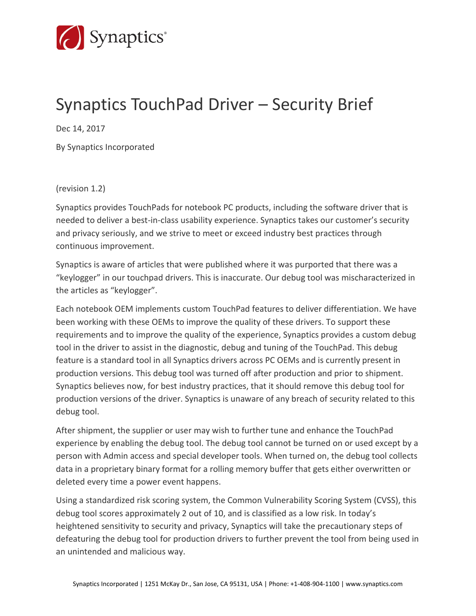

## Synaptics TouchPad Driver – Security Brief

Dec 14, 2017

By Synaptics Incorporated

(revision 1.2)

Synaptics provides TouchPads for notebook PC products, including the software driver that is needed to deliver a best-in-class usability experience. Synaptics takes our customer's security and privacy seriously, and we strive to meet or exceed industry best practices through continuous improvement.

Synaptics is aware of articles that were published where it was purported that there was a "keylogger" in our touchpad drivers. This is inaccurate. Our debug tool was mischaracterized in the articles as "keylogger".

Each notebook OEM implements custom TouchPad features to deliver differentiation. We have been working with these OEMs to improve the quality of these drivers. To support these requirements and to improve the quality of the experience, Synaptics provides a custom debug tool in the driver to assist in the diagnostic, debug and tuning of the TouchPad. This debug feature is a standard tool in all Synaptics drivers across PC OEMs and is currently present in production versions. This debug tool was turned off after production and prior to shipment. Synaptics believes now, for best industry practices, that it should remove this debug tool for production versions of the driver. Synaptics is unaware of any breach of security related to this debug tool.

After shipment, the supplier or user may wish to further tune and enhance the TouchPad experience by enabling the debug tool. The debug tool cannot be turned on or used except by a person with Admin access and special developer tools. When turned on, the debug tool collects data in a proprietary binary format for a rolling memory buffer that gets either overwritten or deleted every time a power event happens.

Using a standardized risk scoring system, the Common Vulnerability Scoring System (CVSS), this debug tool scores approximately 2 out of 10, and is classified as a low risk. In today's heightened sensitivity to security and privacy, Synaptics will take the precautionary steps of defeaturing the debug tool for production drivers to further prevent the tool from being used in an unintended and malicious way.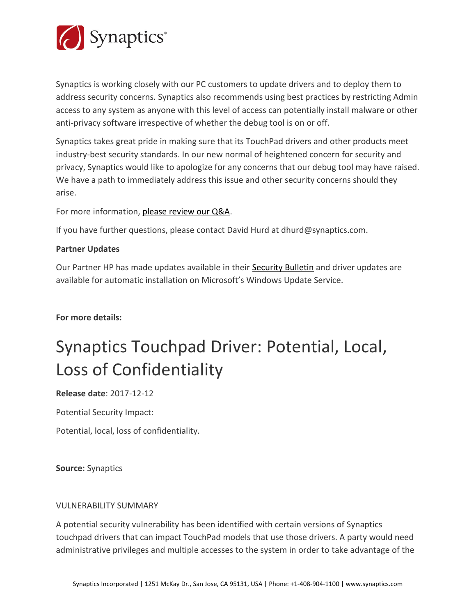

Synaptics is working closely with our PC customers to update drivers and to deploy them to address security concerns. Synaptics also recommends using best practices by restricting Admin access to any system as anyone with this level of access can potentially install malware or other anti-privacy software irrespective of whether the debug tool is on or off.

Synaptics takes great pride in making sure that its TouchPad drivers and other products meet industry-best security standards. In our new normal of heightened concern for security and privacy, Synaptics would like to apologize for any concerns that our debug tool may have raised. We have a path to immediately address this issue and other security concerns should they arise.

### For more information, [please review our Q&A.](https://www.synaptics.com/sites/default/files/synaptics-touchpad-software-driver-qa.pdf)

If you have further questions, please contact David Hurd at dhurd@synaptics.com.

### **Partner Updates**

Our Partner HP has made updates available in their [Security Bulletin](https://support.hp.com/us-en/document/c05827409) and driver updates are available for automatic installation on Microsoft's Windows Update Service.

**For more details:**

# Synaptics Touchpad Driver: Potential, Local, Loss of Confidentiality

**Release date**: 2017-12-12

Potential Security Impact:

Potential, local, loss of confidentiality.

**Source:** Synaptics

### VULNERABILITY SUMMARY

A potential security vulnerability has been identified with certain versions of Synaptics touchpad drivers that can impact TouchPad models that use those drivers. A party would need administrative privileges and multiple accesses to the system in order to take advantage of the